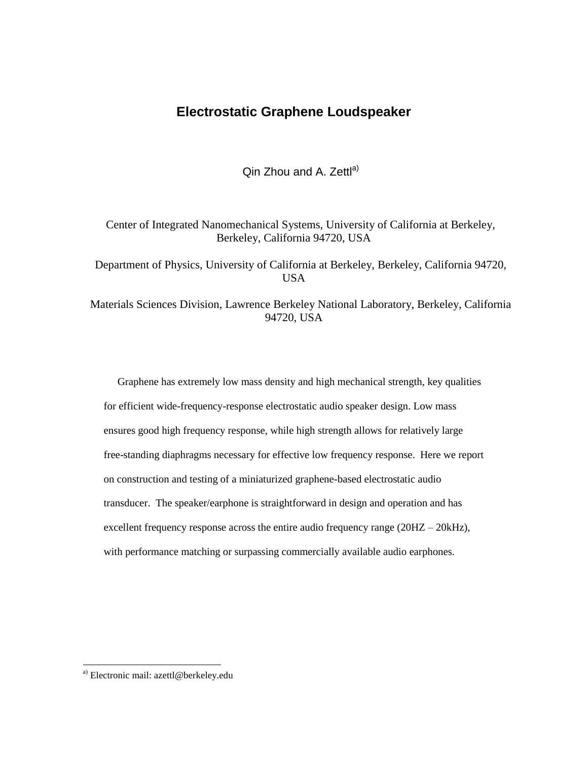## **Electrostatic Graphene Loudspeaker**

Qin Zhou and A. Zettl<sup>a)</sup>

Center of Integrated Nanomechanical Systems, University of California at Berkeley, Berkeley, California 94720, USA

Department of Physics, University of California at Berkeley, Berkeley, California 94720, USA

Materials Sciences Division, Lawrence Berkeley National Laboratory, Berkeley, California 94720, USA

Graphene has extremely low mass density and high mechanical strength, key qualities for efficient wide-frequency-response electrostatic audio speaker design. Low mass ensures good high frequency response, while high strength allows for relatively large free-standing diaphragms necessary for effective low frequency response. Here we report on construction and testing of a miniaturized graphene-based electrostatic audio transducer. The speaker/earphone is straightforward in design and operation and has excellent frequency response across the entire audio frequency range (20HZ – 20kHz), with performance matching or surpassing commercially available audio earphones.

l

a) Electronic mail: azettl@berkeley.edu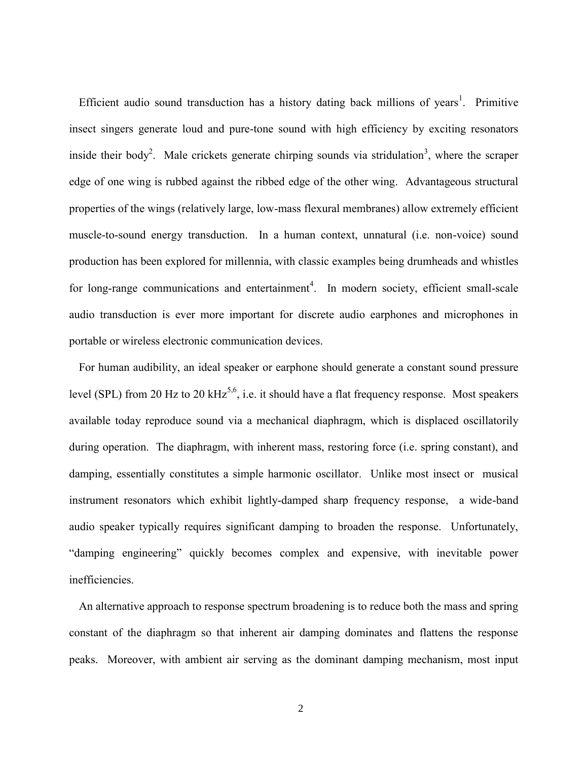Efficient audio sound transduction has a history dating back millions of years<sup>[1](#page-14-0)</sup>. Primitive insect singers generate loud and pure-tone sound with high efficiency by exciting resonators inside their bod[y](#page-14-1)<sup>2</sup>. Male crickets ge[n](#page-14-2)erate chirping sounds via stridulation<sup>3</sup>, where the scraper edge of one wing is rubbed against the ribbed edge of the other wing. Advantageous structural properties of the wings (relatively large, low-mass flexural membranes) allow extremely efficient muscle-to-sound energy transduction. In a human context, unnatural (i.e. non-voice) sound production has been explored for millennia, with classic examples being drumheads and whistles for long-range communica[t](#page-14-3)ions and entertainment<sup>4</sup>. In modern society, efficient small-scale audio transduction is ever more important for discrete audio earphones and microphones in portable or wireless electronic communication devices.

For human audibility, an ideal speaker or earphone should generate a constant sound pressure level (SPL) from 20 Hz to 20  $kHz^{5,6}$  $kHz^{5,6}$  $kHz^{5,6}$  $kHz^{5,6}$ , i.e. it should have a flat frequency response. Most speakers available today reproduce sound via a mechanical diaphragm, which is displaced oscillatorily during operation. The diaphragm, with inherent mass, restoring force (i.e. spring constant), and damping, essentially constitutes a simple harmonic oscillator. Unlike most insect or musical instrument resonators which exhibit lightly-damped sharp frequency response, a wide-band audio speaker typically requires significant damping to broaden the response. Unfortunately, "damping engineering" quickly becomes complex and expensive, with inevitable power inefficiencies.

An alternative approach to response spectrum broadening is to reduce both the mass and spring constant of the diaphragm so that inherent air damping dominates and flattens the response peaks. Moreover, with ambient air serving as the dominant damping mechanism, most input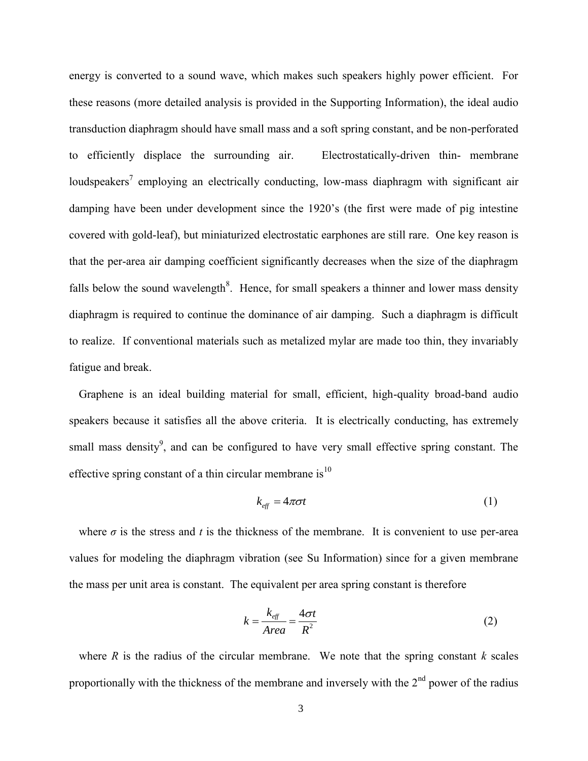energy is converted to a sound wave, which makes such speakers highly power efficient. For these reasons (more detailed analysis is provided in the Supporting Information), the ideal audio transduction diaphragm should have small mass and a soft spring constant, and be non-perforated to efficiently displace the surrounding air. Electrostatically-driven thin- membrane loud[s](#page-14-6)peakers<sup>7</sup> employing an electrically conducting, low-mass diaphragm with significant air damping [h](#page-14-7)ave been under development since the 1920's (the first were made of pig intestine covered with gold-leaf), but miniaturized electrostatic earphones are still rare. One key reason is that the per-area air damping coefficient significantly decreases when the size of the diaphragm falls below the sound wavelength<sup>[8](#page-14-7)</sup>. Hence, for small speakers a thinner and lower mass density diaphragm is required to continue the dominance of air damping. Such a diaphragm is difficult to realize. If conventional materials such as metalized mylar are made too thin, they invariably fatigue and break.

Graphene is an ideal building material for small, efficient, high-quality broad-band audio speakers because it satisfies all the above criteria. It is electrically conducting, has extremely small mass density<sup>[9](#page-14-8)</sup>, and can be configured to have very small effective spring constant. The effective spring constant of a thin circular membrane is $^{10}$  $^{10}$  $^{10}$ 

$$
k_{\text{eff}} = 4\pi\sigma t \tag{1}
$$

where  $\sigma$  is the stress and *t* is the thickness of the membrane. It is convenient to use per-area values for modeling the diaphragm vibration (see Su Information) since for a given membrane the mass per unit area is constant. The equivalent per area spring constant is therefore

$$
k = \frac{k_{\text{eff}}}{Area} = \frac{4\sigma t}{R^2}
$$
 (2)

where  $R$  is the radius of the circular membrane. We note that the spring constant  $k$  scales proportionally with the thickness of the membrane and inversely with the  $2<sup>nd</sup>$  power of the radius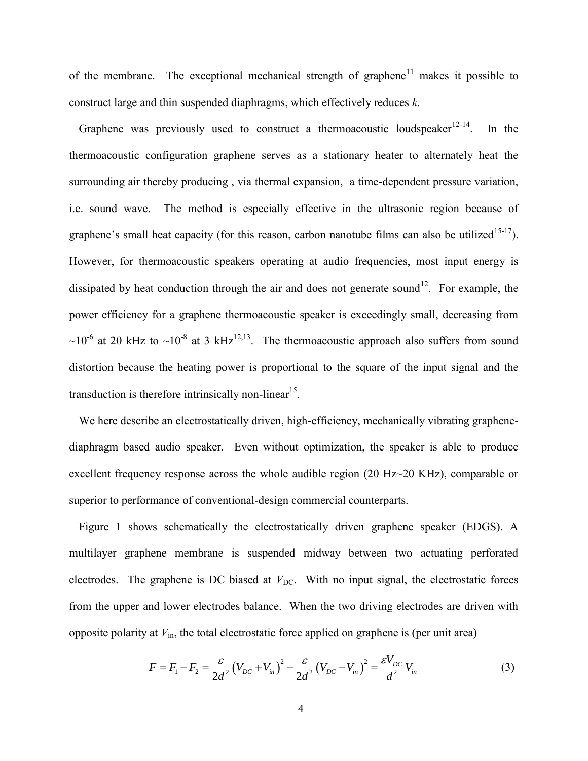of the membrane. The exceptional mechanical strength of graphene<sup>[11](#page-14-10)</sup> makes it possible to construct large and thin suspended diaphragms, which effectively reduces *k*.

Graphene was previously used to construct a thermoacoustic loudspeaker<sup>[12-14](#page-14-11)</sup>. In the thermoacoustic configuration graphene serves as a stationary heater to alternately heat the surrounding air thereby producing , via thermal expansion, a time-dependent pressure variation, i.e. sound wave. The method is especially effective in the ultrasonic region because of graphene's small heat capacity (for this reason, carbon nanotube films can also be utilized<sup>[15-17](#page-14-12)</sup>). However, for thermoacoustic speakers operating at audio frequencies, most input energy is dissipated by heat conduction through the air and does not generate sound<sup>[12](#page-14-11)</sup>. For example, the power efficiency for a graphene thermoacoustic speaker is exceedingly small, decreasing from  $\sim$ 10<sup>-6</sup> at 20 kHz to  $\sim$ 10<sup>-8</sup> at 3 kHz<sup>[12](#page-14-11)[,13](#page-14-13)</sup>. The thermoacoustic approach also suffers from sound distortion because the heating power is proportional to the square of the input signal and the transduction is therefore intrinsically non-linear<sup>[15](#page-14-12)</sup>.

We here describe an electrostatically driven, high-efficiency, mechanically vibrating graphenediaphragm based audio speaker. Even without optimization, the speaker is able to produce excellent frequency response across the whole audible region (20 Hz~20 KHz), comparable or superior to performance of conventional-design commercial counterparts.

Figure 1 shows schematically the electrostatically driven graphene speaker (EDGS). A multilayer graphene membrane is suspended midway between two actuating perforated electrodes. The graphene is DC biased at  $V_{\text{DC}}$ . With no input signal, the electrostatic forces from the upper and lower electrodes balance. When the two driving electrodes are driven with

opposite polarity at 
$$
V_{\text{in}}
$$
, the total electrostatic force applied on graphene is (per unit area)  
\n
$$
F = F_1 - F_2 = \frac{\varepsilon}{2d^2} (V_{DC} + V_{in})^2 - \frac{\varepsilon}{2d^2} (V_{DC} - V_{in})^2 = \frac{\varepsilon V_{DC}}{d^2} V_{in}
$$
\n(3)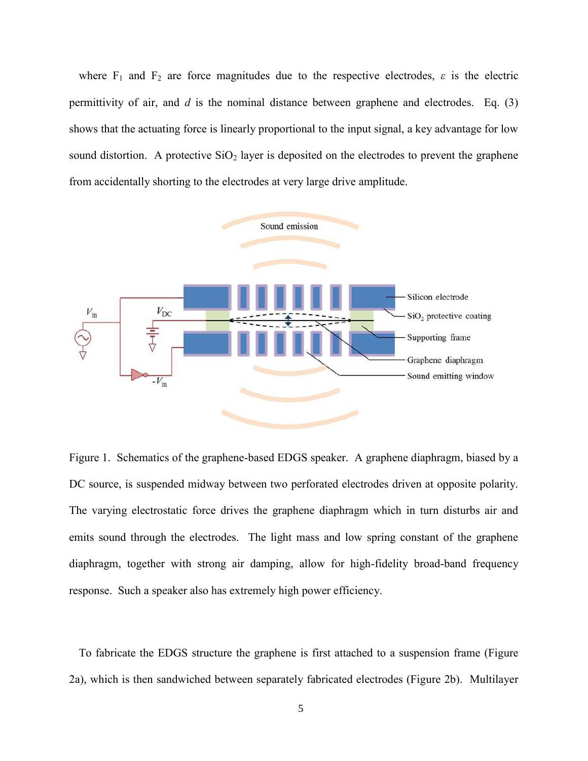where  $F_1$  and  $F_2$  are force magnitudes due to the respective electrodes,  $\varepsilon$  is the electric permittivity of air, and *d* is the nominal distance between graphene and electrodes. Eq. (3) shows that the actuating force is linearly proportional to the input signal, a key advantage for low sound distortion. A protective  $SiO<sub>2</sub>$  layer is deposited on the electrodes to prevent the graphene from accidentally shorting to the electrodes at very large drive amplitude.



Figure 1. Schematics of the graphene-based EDGS speaker. A graphene diaphragm, biased by a DC source, is suspended midway between two perforated electrodes driven at opposite polarity. The varying electrostatic force drives the graphene diaphragm which in turn disturbs air and emits sound through the electrodes. The light mass and low spring constant of the graphene diaphragm, together with strong air damping, allow for high-fidelity broad-band frequency response. Such a speaker also has extremely high power efficiency.

To fabricate the EDGS structure the graphene is first attached to a suspension frame (Figure 2a), which is then sandwiched between separately fabricated electrodes (Figure 2b). Multilayer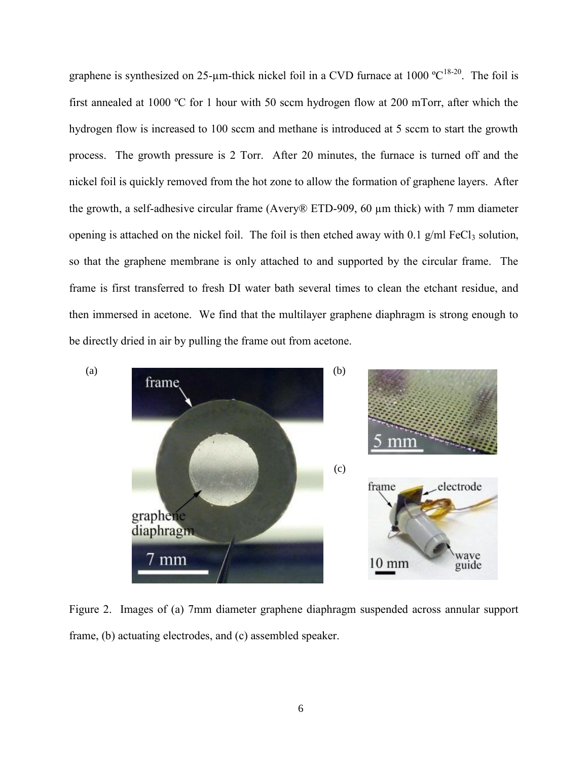graphene is synthesized on 25-um-thick nickel foil in a CVD furnace at 1000  $^{\circ}C^{18-20}$  $^{\circ}C^{18-20}$  $^{\circ}C^{18-20}$ . The foil is first annealed at 1000 ºC for 1 hour with 50 sccm hydrogen flow at 200 mTorr, after which the hydrogen flow is increased to 100 sccm and methane is introduced at 5 sccm to start the growth process. The growth pressure is 2 Torr. After 20 minutes, the furnace is turned off and the nickel foil is quickly removed from the hot zone to allow the formation of graphene layers. After the growth, a self-adhesive circular frame (Avery® ETD-909, 60 µm thick) with 7 mm diameter opening is attached on the nickel foil. The foil is then etched away with  $0.1$  g/ml FeCl<sub>3</sub> solution, so that the graphene membrane is only attached to and supported by the circular frame. The frame is first transferred to fresh DI water bath several times to clean the etchant residue, and then immersed in acetone. We find that the multilayer graphene diaphragm is strong enough to be directly dried in air by pulling the frame out from acetone.



Figure 2. Images of (a) 7mm diameter graphene diaphragm suspended across annular support frame, (b) actuating electrodes, and (c) assembled speaker.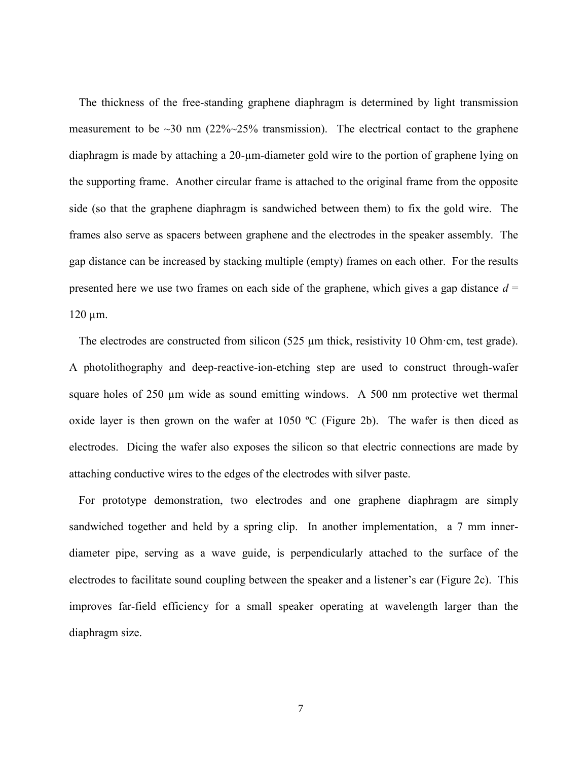The thickness of the free-standing graphene diaphragm is determined by light transmission measurement to be  $\sim$ 30 nm (22% $\sim$ 25% transmission). The electrical contact to the graphene diaphragm is made by attaching a 20-µm-diameter gold wire to the portion of graphene lying on the supporting frame. Another circular frame is attached to the original frame from the opposite side (so that the graphene diaphragm is sandwiched between them) to fix the gold wire. The frames also serve as spacers between graphene and the electrodes in the speaker assembly. The gap distance can be increased by stacking multiple (empty) frames on each other. For the results presented here we use two frames on each side of the graphene, which gives a gap distance  $d =$  $120 \mu m$ .

The electrodes are constructed from silicon (525 µm thick, resistivity 10 Ohm·cm, test grade). A photolithography and deep-reactive-ion-etching step are used to construct through-wafer square holes of  $250 \mu m$  wide as sound emitting windows. A 500 nm protective wet thermal oxide layer is then grown on the wafer at 1050 ºC (Figure 2b). The wafer is then diced as electrodes. Dicing the wafer also exposes the silicon so that electric connections are made by attaching conductive wires to the edges of the electrodes with silver paste.

For prototype demonstration, two electrodes and one graphene diaphragm are simply sandwiched together and held by a spring clip. In another implementation, a 7 mm innerdiameter pipe, serving as a wave guide, is perpendicularly attached to the surface of the electrodes to facilitate sound coupling between the speaker and a listener's ear (Figure 2c). This improves far-field efficiency for a small speaker operating at wavelength larger than the diaphragm size.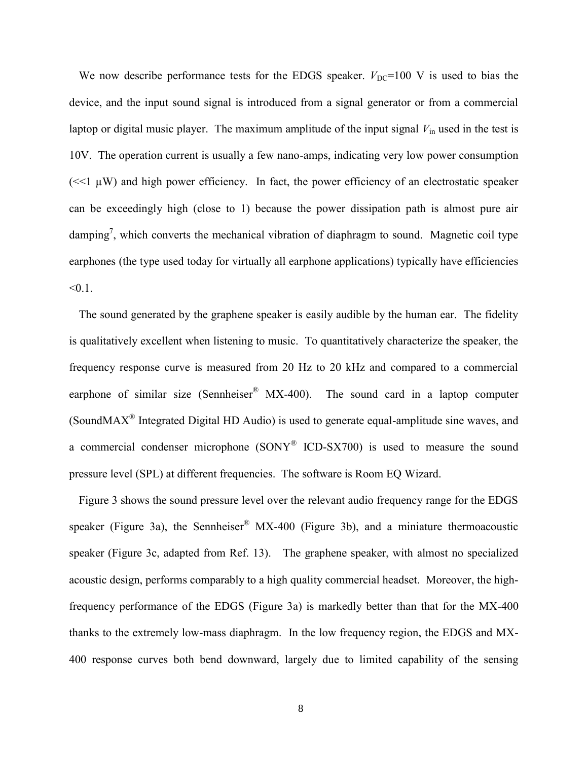We now describe performance tests for the EDGS speaker.  $V_{\text{DC}}=100$  V is used to bias the device, and the input sound signal is introduced from a signal generator or from a commercial laptop or digital music player. The maximum amplitude of the input signal  $V_{in}$  used in the test is 10V. The operation current is usually a few nano-amps, indicating very low power consumption  $\ll$ 1  $\mu$ W) and high power efficiency. In fact, the power efficiency of an electrostatic speaker can be exceedingly high (close to 1) because the power dissipation path is almost pure air damping<sup>[7](#page-14-6)</sup>, which converts the mechanical vibration of diaphragm to sound. Magnetic coil type earphones (the type used today for virtually all earphone applications) typically have efficiencies  $< 0.1$ .

The sound generated by the graphene speaker is easily audible by the human ear. The fidelity is qualitatively excellent when listening to music. To quantitatively characterize the speaker, the frequency response curve is measured from 20 Hz to 20 kHz and compared to a commercial earphone of similar size (Sennheiser<sup>®</sup> MX-400). The sound card in a laptop computer (SoundMAX<sup>®</sup> Integrated Digital HD Audio) is used to generate equal-amplitude sine waves, and a commercial condenser microphone  $(SONY^{\otimes}{}{}'CD-SX700)$  is used to measure the sound pressure level (SPL) at different frequencies. The software is Room EQ Wizard.

Figure 3 shows the sound pressure level over the relevant audio frequency range for the EDGS speaker (Figure 3a), the Sennheiser<sup>®</sup> MX-400 (Figure 3b), and a miniature thermoacoustic speaker (Figure 3c, adapted from Ref. 13). The graphene speaker, with almost no specialized acoustic design, performs comparably to a high quality commercial headset. Moreover, the highfrequency performance of the EDGS (Figure 3a) is markedly better than that for the MX-400 thanks to the extremely low-mass diaphragm. In the low frequency region, the EDGS and MX-400 response curves both bend downward, largely due to limited capability of the sensing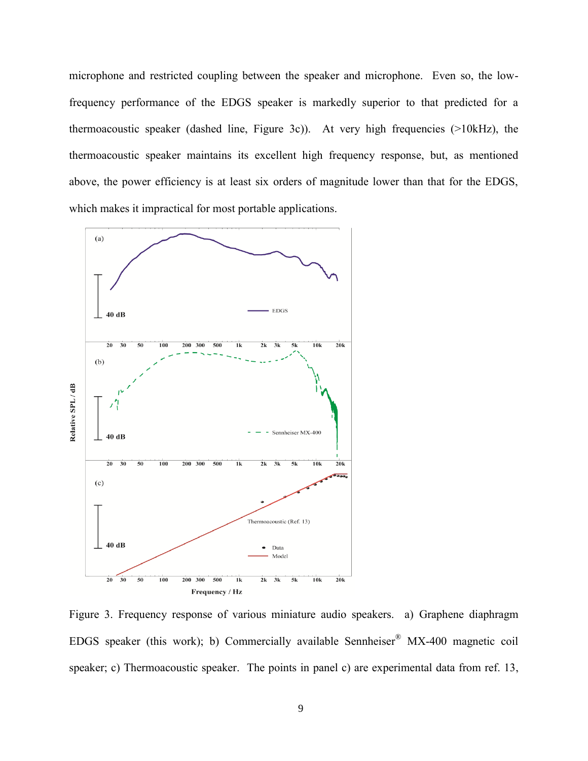microphone and restricted coupling between the speaker and microphone. Even so, the lowfrequency performance of the EDGS speaker is markedly superior to that predicted for a thermoacoustic speaker (dashed line, Figure 3c)). At very high frequencies (>10kHz), the thermoacoustic speaker maintains its excellent high frequency response, but, as mentioned above, the power efficiency is at least six orders of magnitude lower than that for the EDGS, which makes it impractical for most portable applications.



Figure 3. Frequency response of various miniature audio speakers. a) Graphene diaphragm EDGS speaker (this work); b) Commercially available Sennheiser<sup>®</sup> MX-400 magnetic coil speaker; c) Thermoacoustic speaker. The points in panel c) are experimental data from ref. 13,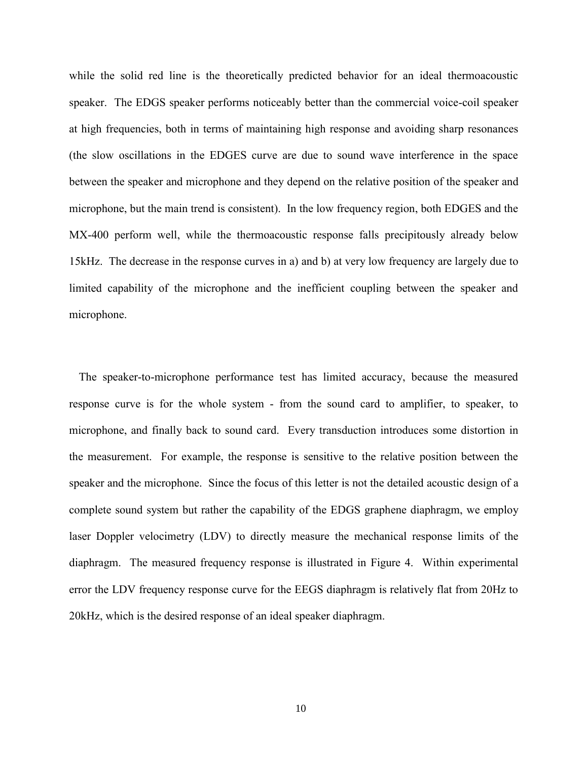while the solid red line is the theoretically predicted behavior for an ideal thermoacoustic speaker. The EDGS speaker performs noticeably better than the commercial voice-coil speaker at high frequencies, both in terms of maintaining high response and avoiding sharp resonances (the slow oscillations in the EDGES curve are due to sound wave interference in the space between the speaker and microphone and they depend on the relative position of the speaker and microphone, but the main trend is consistent). In the low frequency region, both EDGES and the MX-400 perform well, while the thermoacoustic response falls precipitously already below 15kHz. The decrease in the response curves in a) and b) at very low frequency are largely due to limited capability of the microphone and the inefficient coupling between the speaker and microphone.

The speaker-to-microphone performance test has limited accuracy, because the measured response curve is for the whole system - from the sound card to amplifier, to speaker, to microphone, and finally back to sound card. Every transduction introduces some distortion in the measurement. For example, the response is sensitive to the relative position between the speaker and the microphone. Since the focus of this letter is not the detailed acoustic design of a complete sound system but rather the capability of the EDGS graphene diaphragm, we employ laser Doppler velocimetry (LDV) to directly measure the mechanical response limits of the diaphragm. The measured frequency response is illustrated in Figure 4. Within experimental error the LDV frequency response curve for the EEGS diaphragm is relatively flat from 20Hz to 20kHz, which is the desired response of an ideal speaker diaphragm.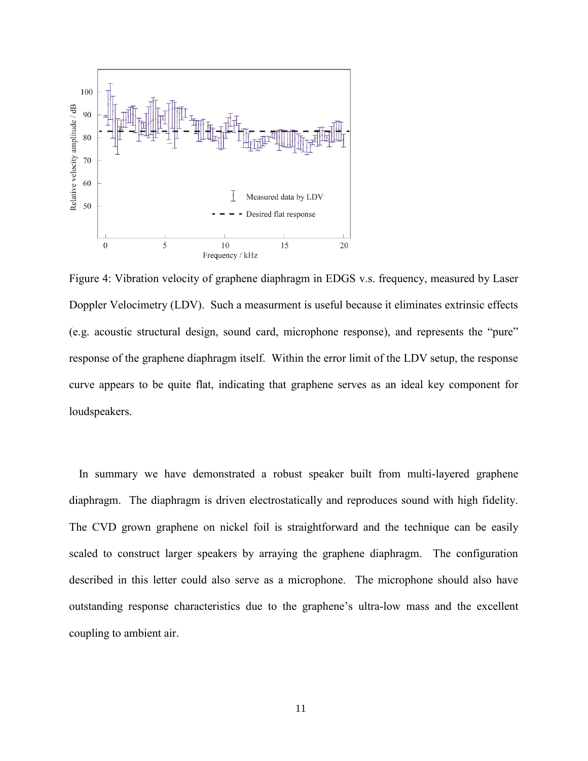

Figure 4: Vibration velocity of graphene diaphragm in EDGS v.s. frequency, measured by Laser Doppler Velocimetry (LDV). Such a measurment is useful because it eliminates extrinsic effects (e.g. acoustic structural design, sound card, microphone response), and represents the "pure" response of the graphene diaphragm itself. Within the error limit of the LDV setup, the response curve appears to be quite flat, indicating that graphene serves as an ideal key component for loudspeakers.

In summary we have demonstrated a robust speaker built from multi-layered graphene diaphragm. The diaphragm is driven electrostatically and reproduces sound with high fidelity. The CVD grown graphene on nickel foil is straightforward and the technique can be easily scaled to construct larger speakers by arraying the graphene diaphragm. The configuration described in this letter could also serve as a microphone. The microphone should also have outstanding response characteristics due to the graphene's ultra-low mass and the excellent coupling to ambient air.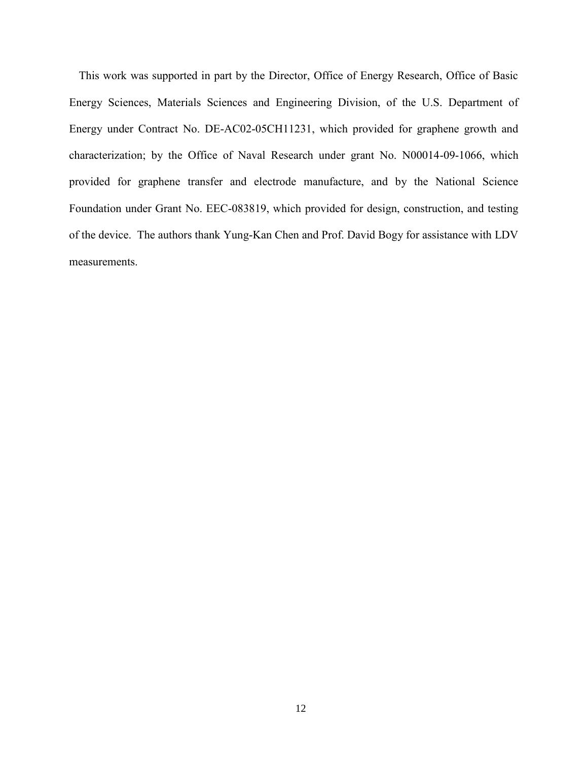This work was supported in part by the Director, Office of Energy Research, Office of Basic Energy Sciences, Materials Sciences and Engineering Division, of the U.S. Department of Energy under Contract No. DE-AC02-05CH11231, which provided for graphene growth and characterization; by the Office of Naval Research under grant No. N00014-09-1066, which provided for graphene transfer and electrode manufacture, and by the National Science Foundation under Grant No. EEC-083819, which provided for design, construction, and testing of the device. The authors thank Yung-Kan Chen and Prof. David Bogy for assistance with LDV measurements.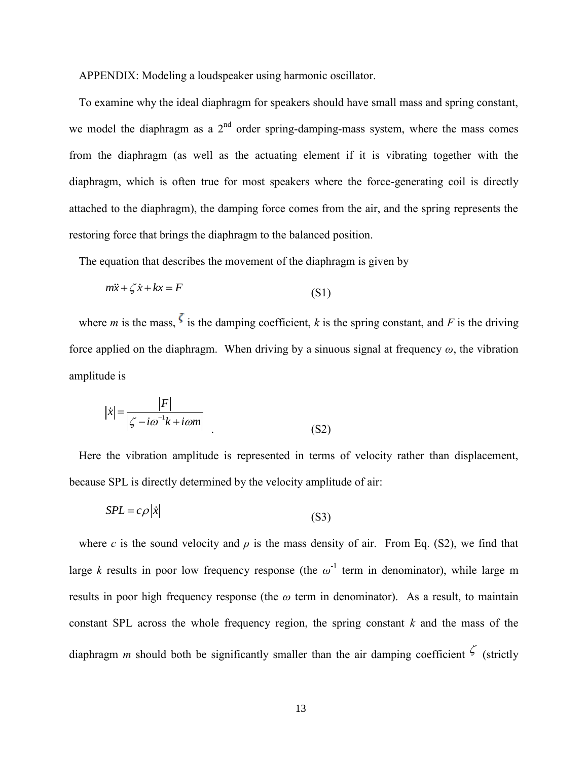APPENDIX: Modeling a loudspeaker using harmonic oscillator.

To examine why the ideal diaphragm for speakers should have small mass and spring constant, we model the diaphragm as a  $2<sup>nd</sup>$  order spring-damping-mass system, where the mass comes from the diaphragm (as well as the actuating element if it is vibrating together with the diaphragm, which is often true for most speakers where the force-generating coil is directly attached to the diaphragm), the damping force comes from the air, and the spring represents the restoring force that brings the diaphragm to the balanced position.

The equation that describes the movement of the diaphragm is given by

$$
m\ddot{x} + \zeta \dot{x} + kx = F \tag{S1}
$$

where *m* is the mass,  $\zeta$  is the damping coefficient, *k* is the spring constant, and *F* is the driving force applied on the diaphragm. When driving by a sinuous signal at frequency  $\omega$ , the vibration amplitude is

$$
|\dot{x}| = \frac{|F|}{|\zeta - i\omega^{-1}k + i\omega m|}
$$
 (S2)

Here the vibration amplitude is represented in terms of velocity rather than displacement, because SPL is directly determined by the velocity amplitude of air:

$$
SPL = c\rho |\dot{x}| \tag{S3}
$$

where *c* is the sound velocity and  $\rho$  is the mass density of air. From Eq. (S2), we find that large *k* results in poor low frequency response (the  $\omega^{-1}$  term in denominator), while large m results in poor high frequency response (the *ω* term in denominator). As a result, to maintain constant SPL across the whole frequency region, the spring constant *k* and the mass of the diaphragm *m* should both be significantly smaller than the air damping coefficient  $\zeta$  (strictly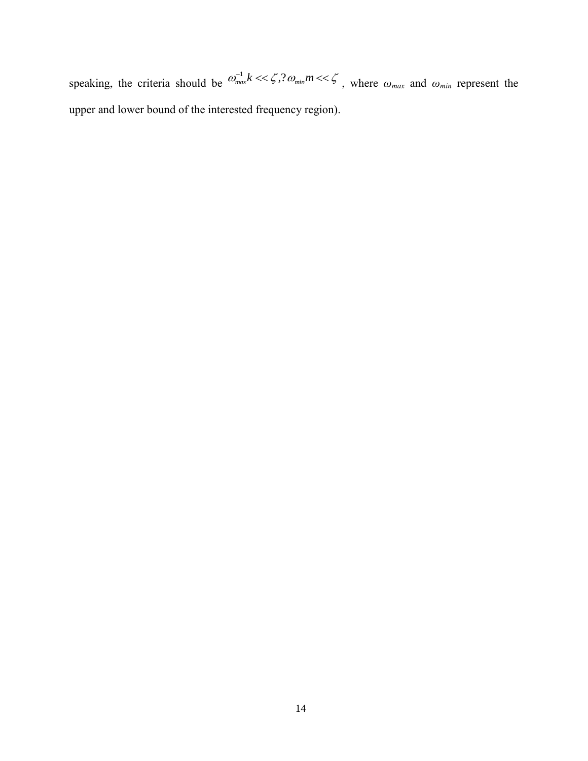speaking, the criteria should be  $\omega_{max}^{-1} k \ll \zeta$ ,  $\omega_{min} m \ll \zeta$ , where  $\omega_{max}$  and  $\omega_{min}$  represent the upper and lower bound of the interested frequency region).